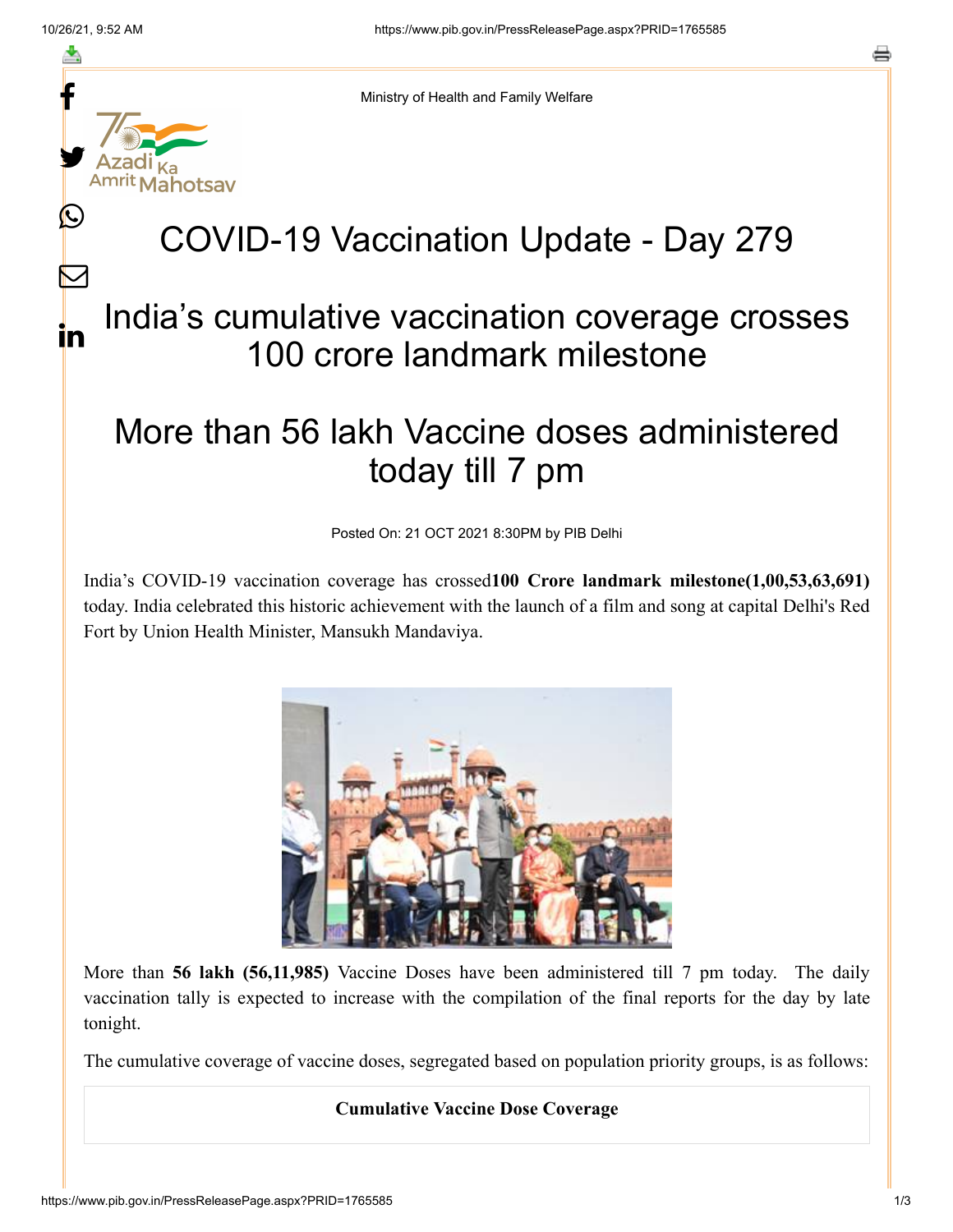≛

Ŀ

 $\bm{\nabla}$ 

in



Ministry of Health and Family Welfare

## COVID-19 Vaccination Update - Day 279

## India's cumulative vaccination coverage crosses 100 crore landmark milestone

## More than 56 lakh Vaccine doses administered today till 7 pm

Posted On: 21 OCT 2021 8:30PM by PIB Delhi

India's COVID-19 vaccination coverage has crossed**100 Crore landmark milestone(1,00,53,63,691)** today. India celebrated this historic achievement with the launch of a film and song at capital Delhi's Red Fort by Union Health Minister, Mansukh Mandaviya.



More than **56 lakh (56,11,985)** Vaccine Doses have been administered till 7 pm today. The daily vaccination tally is expected to increase with the compilation of the final reports for the day by late tonight.

The cumulative coverage of vaccine doses, segregated based on population priority groups, is as follows:

## **Cumulative Vaccine Dose Coverage**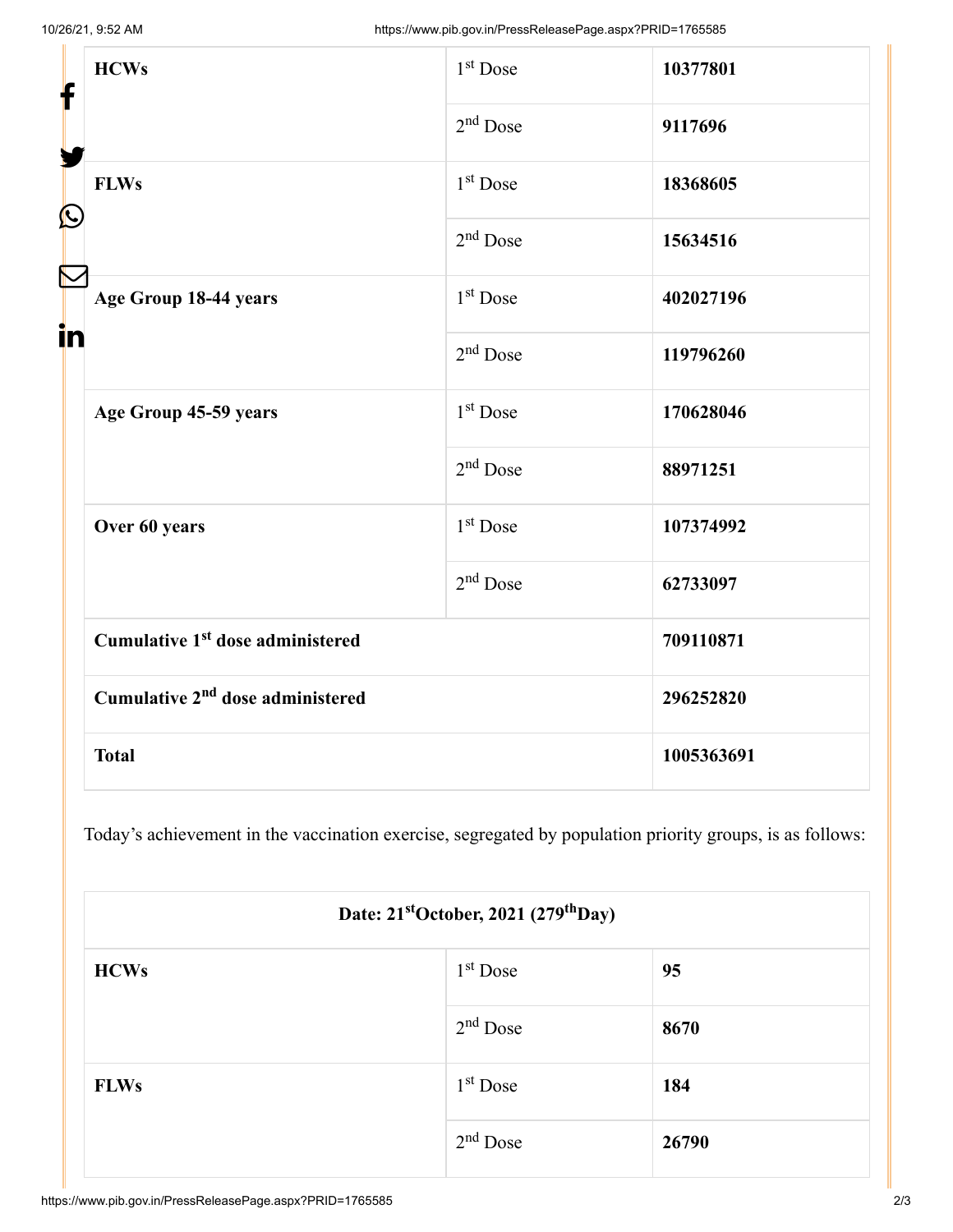| f<br>$\bf \Omega$ | <b>HCWs</b>                                  | $1st$ Dose           | 10377801   |
|-------------------|----------------------------------------------|----------------------|------------|
|                   |                                              | $2nd$ Dose           | 9117696    |
|                   | <b>FLWs</b>                                  | 1 <sup>st</sup> Dose | 18368605   |
|                   |                                              | $2nd$ Dose           | 15634516   |
| in                | Age Group 18-44 years                        | $1st$ Dose           | 402027196  |
|                   |                                              | $2nd$ Dose           | 119796260  |
|                   | Age Group 45-59 years                        | 1 <sup>st</sup> Dose | 170628046  |
|                   |                                              | $2nd$ Dose           | 88971251   |
|                   | Over 60 years                                | 1 <sup>st</sup> Dose | 107374992  |
|                   |                                              | $2nd$ Dose           | 62733097   |
|                   | Cumulative 1 <sup>st</sup> dose administered |                      | 709110871  |
|                   | Cumulative 2 <sup>nd</sup> dose administered |                      | 296252820  |
|                   | <b>Total</b>                                 |                      | 1005363691 |

Today's achievement in the vaccination exercise, segregated by population priority groups, is as follows:

| Date: 21 <sup>st</sup> October, 2021 (279 <sup>th</sup> Day) |            |       |  |  |
|--------------------------------------------------------------|------------|-------|--|--|
| <b>HCWs</b>                                                  | $1st$ Dose | 95    |  |  |
|                                                              | $2nd$ Dose | 8670  |  |  |
| <b>FLWs</b>                                                  | $1st$ Dose | 184   |  |  |
|                                                              | $2nd$ Dose | 26790 |  |  |